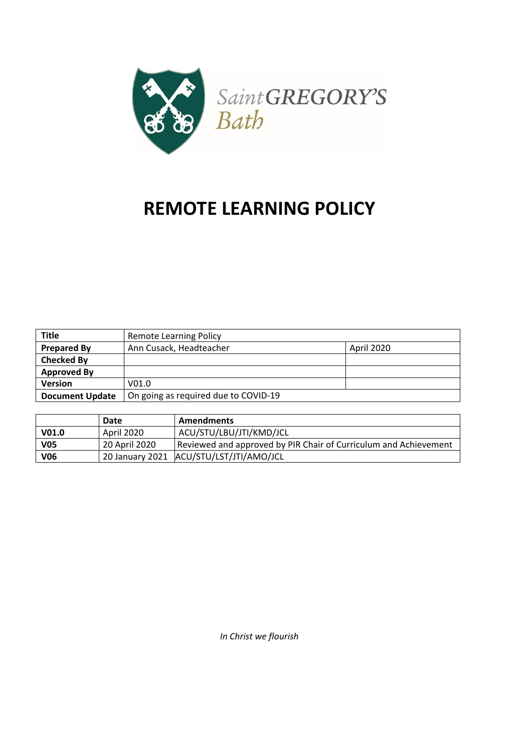

# **REMOTE LEARNING POLICY**

| <b>Title</b>           | <b>Remote Learning Policy</b>        |            |
|------------------------|--------------------------------------|------------|
| <b>Prepared By</b>     | Ann Cusack, Headteacher              | April 2020 |
| <b>Checked By</b>      |                                      |            |
| <b>Approved By</b>     |                                      |            |
| <b>Version</b>         | V <sub>01.0</sub>                    |            |
| <b>Document Update</b> | On going as required due to COVID-19 |            |

|                   | Date          | <b>Amendments</b>                                                |
|-------------------|---------------|------------------------------------------------------------------|
| V <sub>01.0</sub> | April 2020    | ACU/STU/LBU/JTI/KMD/JCL                                          |
| <b>V05</b>        | 20 April 2020 | Reviewed and approved by PIR Chair of Curriculum and Achievement |
| <b>V06</b>        |               | 20 January 2021 ACU/STU/LST/JTI/AMO/JCL                          |

*In Christ we flourish*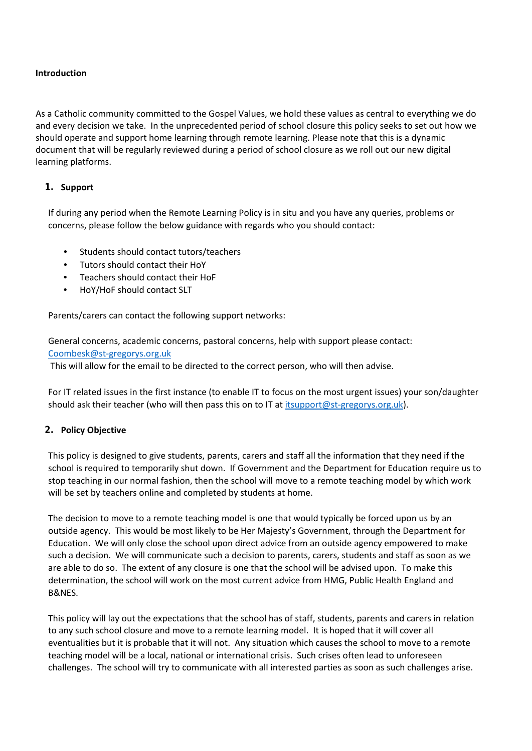## **Introduction**

As a Catholic community committed to the Gospel Values, we hold these values as central to everything we do and every decision we take. In the unprecedented period of school closure this policy seeks to set out how we should operate and support home learning through remote learning. Please note that this is a dynamic document that will be regularly reviewed during a period of school closure as we roll out our new digital learning platforms.

# **1. Support**

If during any period when the Remote Learning Policy is in situ and you have any queries, problems or concerns, please follow the below guidance with regards who you should contact:

- Students should contact tutors/teachers
- Tutors should contact their HoY
- Teachers should contact their HoF
- HoY/HoF should contact SLT

Parents/carers can contact the following support networks:

General concerns, academic concerns, pastoral concerns, help with support please contact: Coombesk@st-gregorys.org.uk

This will allow for the email to be directed to the correct person, who will then advise.

For IT related issues in the first instance (to enable IT to focus on the most urgent issues) your son/daughter should ask their teacher (who will then pass this on to IT at itsupport@st-gregorys.org.uk).

# **2. Policy Objective**

This policy is designed to give students, parents, carers and staff all the information that they need if the school is required to temporarily shut down. If Government and the Department for Education require us to stop teaching in our normal fashion, then the school will move to a remote teaching model by which work will be set by teachers online and completed by students at home.

The decision to move to a remote teaching model is one that would typically be forced upon us by an outside agency. This would be most likely to be Her Majesty's Government, through the Department for Education. We will only close the school upon direct advice from an outside agency empowered to make such a decision. We will communicate such a decision to parents, carers, students and staff as soon as we are able to do so. The extent of any closure is one that the school will be advised upon. To make this determination, the school will work on the most current advice from HMG, Public Health England and B&NES.

This policy will lay out the expectations that the school has of staff, students, parents and carers in relation to any such school closure and move to a remote learning model. It is hoped that it will cover all eventualities but it is probable that it will not. Any situation which causes the school to move to a remote teaching model will be a local, national or international crisis. Such crises often lead to unforeseen challenges. The school will try to communicate with all interested parties as soon as such challenges arise.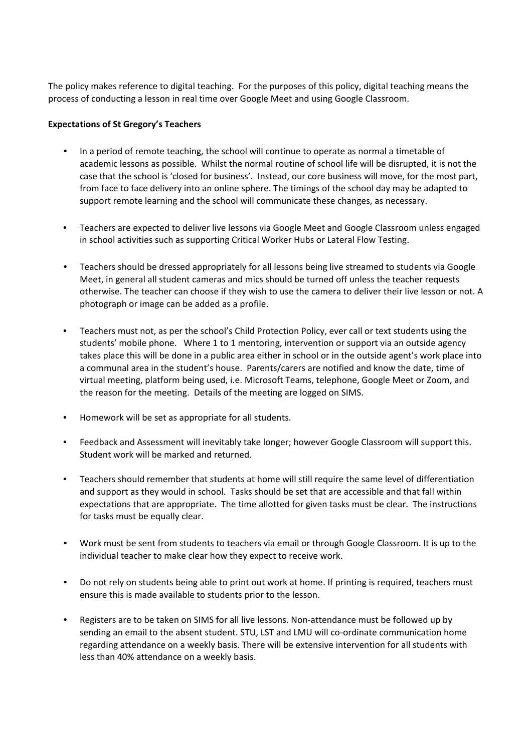The policy makes reference to digital teaching. For the purposes of this policy, digital teaching means the process of conducting a lesson in real time over Google Meet and using Google Classroom.

## **Expectations of St Gregory's Teachers**

- In a period of remote teaching, the school will continue to operate as normal a timetable of academic lessons as possible. Whilst the normal routine of school life will be disrupted, it is not the case that the school is 'closed for business'. Instead, our core business will move, for the most part, from face to face delivery into an online sphere. The timings of the school day may be adapted to support remote learning and the school will communicate these changes, as necessary.
- Teachers are expected to deliver live lessons via Google Meet and Google Classroom unless engaged in school activities such as supporting Critical Worker Hubs or Lateral Flow Testing.
- Teachers should be dressed appropriately for all lessons being live streamed to students via Google Meet, in general all student cameras and mics should be turned off unless the teacher requests otherwise. The teacher can choose if they wish to use the camera to deliver their live lesson or not. A photograph or image can be added as a profile.
- Teachers must not, as per the school's Child Protection Policy, ever call or text students using the students' mobile phone. Where 1 to 1 mentoring, intervention or support via an outside agency takes place this will be done in a public area either in school or in the outside agent's work place into a communal area in the student's house. Parents/carers are notified and know the date, time of virtual meeting, platform being used, i.e. Microsoft Teams, telephone, Google Meet or Zoom, and the reason for the meeting. Details of the meeting are logged on SIMS.
- Homework will be set as appropriate for all students.
- Feedback and Assessment will inevitably take longer; however Google Classroom will support this. Student work will be marked and returned.
- Teachers should remember that students at home will still require the same level of differentiation and support as they would in school. Tasks should be set that are accessible and that fall within expectations that are appropriate. The time allotted for given tasks must be clear. The instructions for tasks must be equally clear.
- Work must be sent from students to teachers via email or through Google Classroom. It is up to the individual teacher to make clear how they expect to receive work.
- Do not rely on students being able to print out work at home. If printing is required, teachers must ensure this is made available to students prior to the lesson.
- Registers are to be taken on SIMS for all live lessons. Non-attendance must be followed up by sending an email to the absent student. STU, LST and LMU will co-ordinate communication home regarding attendance on a weekly basis. There will be extensive intervention for all students with less than 40% attendance on a weekly basis.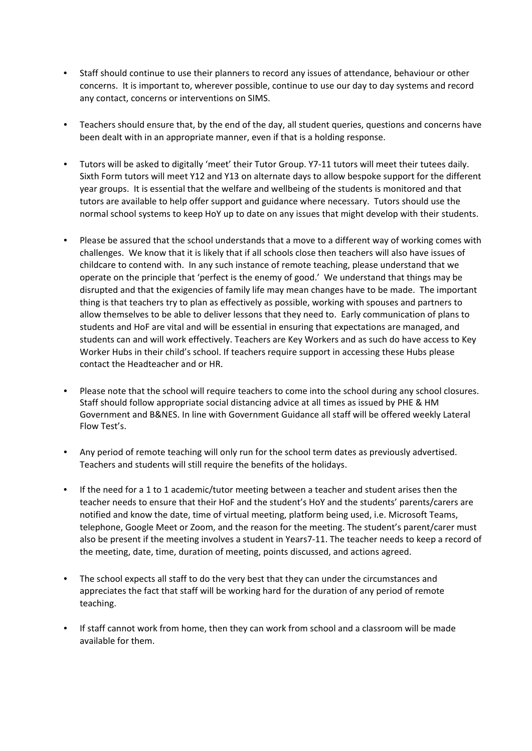- Staff should continue to use their planners to record any issues of attendance, behaviour or other concerns. It is important to, wherever possible, continue to use our day to day systems and record any contact, concerns or interventions on SIMS.
- Teachers should ensure that, by the end of the day, all student queries, questions and concerns have been dealt with in an appropriate manner, even if that is a holding response.
- Tutors will be asked to digitally 'meet' their Tutor Group. Y7-11 tutors will meet their tutees daily. Sixth Form tutors will meet Y12 and Y13 on alternate days to allow bespoke support for the different year groups. It is essential that the welfare and wellbeing of the students is monitored and that tutors are available to help offer support and guidance where necessary. Tutors should use the normal school systems to keep HoY up to date on any issues that might develop with their students.
- Please be assured that the school understands that a move to a different way of working comes with challenges. We know that it is likely that if all schools close then teachers will also have issues of childcare to contend with. In any such instance of remote teaching, please understand that we operate on the principle that 'perfect is the enemy of good.' We understand that things may be disrupted and that the exigencies of family life may mean changes have to be made. The important thing is that teachers try to plan as effectively as possible, working with spouses and partners to allow themselves to be able to deliver lessons that they need to. Early communication of plans to students and HoF are vital and will be essential in ensuring that expectations are managed, and students can and will work effectively. Teachers are Key Workers and as such do have access to Key Worker Hubs in their child's school. If teachers require support in accessing these Hubs please contact the Headteacher and or HR.
- Please note that the school will require teachers to come into the school during any school closures. Staff should follow appropriate social distancing advice at all times as issued by PHE & HM Government and B&NES. In line with Government Guidance all staff will be offered weekly Lateral Flow Test's.
- Any period of remote teaching will only run for the school term dates as previously advertised. Teachers and students will still require the benefits of the holidays.
- If the need for a 1 to 1 academic/tutor meeting between a teacher and student arises then the teacher needs to ensure that their HoF and the student's HoY and the students' parents/carers are notified and know the date, time of virtual meeting, platform being used, i.e. Microsoft Teams, telephone, Google Meet or Zoom, and the reason for the meeting. The student's parent/carer must also be present if the meeting involves a student in Years7-11. The teacher needs to keep a record of the meeting, date, time, duration of meeting, points discussed, and actions agreed.
- The school expects all staff to do the very best that they can under the circumstances and appreciates the fact that staff will be working hard for the duration of any period of remote teaching.
- If staff cannot work from home, then they can work from school and a classroom will be made available for them.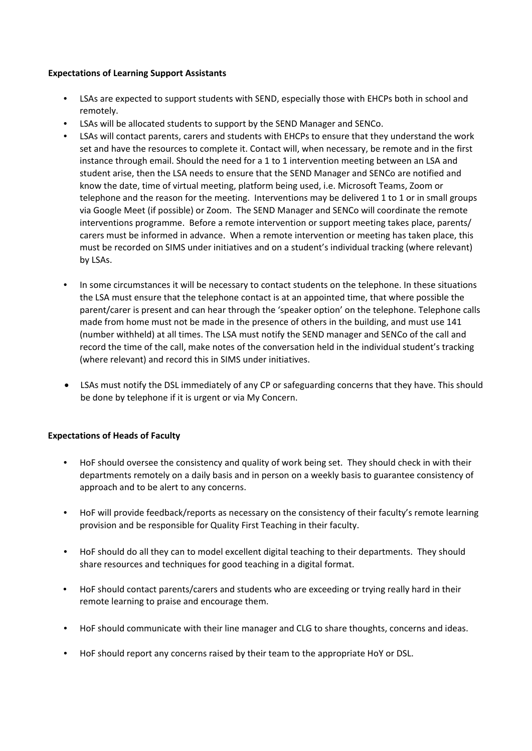## **Expectations of Learning Support Assistants**

- LSAs are expected to support students with SEND, especially those with EHCPs both in school and remotely.
- LSAs will be allocated students to support by the SEND Manager and SENCo.
- LSAs will contact parents, carers and students with EHCPs to ensure that they understand the work set and have the resources to complete it. Contact will, when necessary, be remote and in the first instance through email. Should the need for a 1 to 1 intervention meeting between an LSA and student arise, then the LSA needs to ensure that the SEND Manager and SENCo are notified and know the date, time of virtual meeting, platform being used, i.e. Microsoft Teams, Zoom or telephone and the reason for the meeting. Interventions may be delivered 1 to 1 or in small groups via Google Meet (if possible) or Zoom. The SEND Manager and SENCo will coordinate the remote interventions programme. Before a remote intervention or support meeting takes place, parents/ carers must be informed in advance. When a remote intervention or meeting has taken place, this must be recorded on SIMS under initiatives and on a student's individual tracking (where relevant) by LSAs.
- In some circumstances it will be necessary to contact students on the telephone. In these situations the LSA must ensure that the telephone contact is at an appointed time, that where possible the parent/carer is present and can hear through the 'speaker option' on the telephone. Telephone calls made from home must not be made in the presence of others in the building, and must use 141 (number withheld) at all times. The LSA must notify the SEND manager and SENCo of the call and record the time of the call, make notes of the conversation held in the individual student's tracking (where relevant) and record this in SIMS under initiatives.
- LSAs must notify the DSL immediately of any CP or safeguarding concerns that they have. This should be done by telephone if it is urgent or via My Concern.

# **Expectations of Heads of Faculty**

- HoF should oversee the consistency and quality of work being set. They should check in with their departments remotely on a daily basis and in person on a weekly basis to guarantee consistency of approach and to be alert to any concerns.
- HoF will provide feedback/reports as necessary on the consistency of their faculty's remote learning provision and be responsible for Quality First Teaching in their faculty.
- HoF should do all they can to model excellent digital teaching to their departments. They should share resources and techniques for good teaching in a digital format.
- HoF should contact parents/carers and students who are exceeding or trying really hard in their remote learning to praise and encourage them.
- HoF should communicate with their line manager and CLG to share thoughts, concerns and ideas.
- HoF should report any concerns raised by their team to the appropriate HoY or DSL.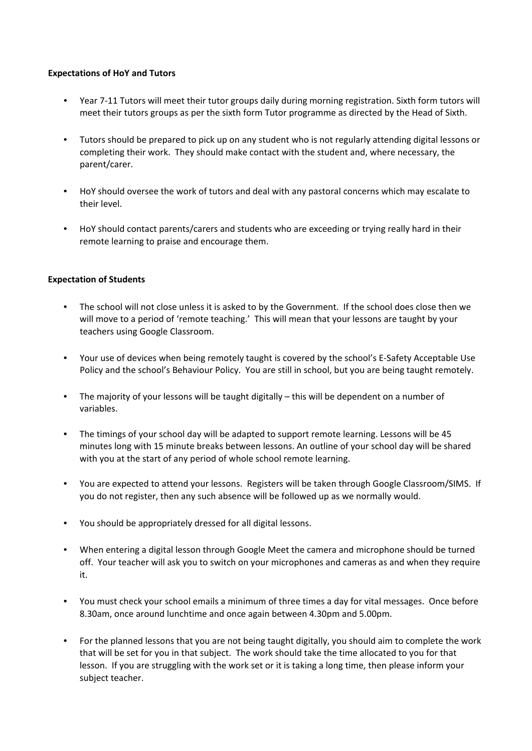## **Expectations of HoY and Tutors**

- Year 7-11 Tutors will meet their tutor groups daily during morning registration. Sixth form tutors will meet their tutors groups as per the sixth form Tutor programme as directed by the Head of Sixth.
- Tutors should be prepared to pick up on any student who is not regularly attending digital lessons or completing their work. They should make contact with the student and, where necessary, the parent/carer.
- HoY should oversee the work of tutors and deal with any pastoral concerns which may escalate to their level.
- HoY should contact parents/carers and students who are exceeding or trying really hard in their remote learning to praise and encourage them.

## **Expectation of Students**

- The school will not close unless it is asked to by the Government. If the school does close then we will move to a period of 'remote teaching.' This will mean that your lessons are taught by your teachers using Google Classroom.
- Your use of devices when being remotely taught is covered by the school's E-Safety Acceptable Use Policy and the school's Behaviour Policy. You are still in school, but you are being taught remotely.
- The majority of your lessons will be taught digitally this will be dependent on a number of variables.
- The timings of your school day will be adapted to support remote learning. Lessons will be 45 minutes long with 15 minute breaks between lessons. An outline of your school day will be shared with you at the start of any period of whole school remote learning.
- You are expected to attend your lessons. Registers will be taken through Google Classroom/SIMS. If you do not register, then any such absence will be followed up as we normally would.
- You should be appropriately dressed for all digital lessons.
- When entering a digital lesson through Google Meet the camera and microphone should be turned off. Your teacher will ask you to switch on your microphones and cameras as and when they require it.
- You must check your school emails a minimum of three times a day for vital messages. Once before 8.30am, once around lunchtime and once again between 4.30pm and 5.00pm.
- For the planned lessons that you are not being taught digitally, you should aim to complete the work that will be set for you in that subject. The work should take the time allocated to you for that lesson. If you are struggling with the work set or it is taking a long time, then please inform your subject teacher.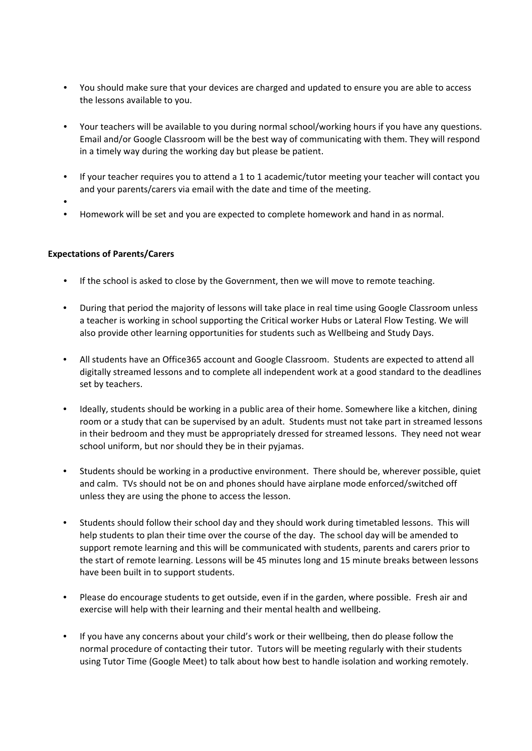- You should make sure that your devices are charged and updated to ensure you are able to access the lessons available to you.
- Your teachers will be available to you during normal school/working hours if you have any questions. Email and/or Google Classroom will be the best way of communicating with them. They will respond in a timely way during the working day but please be patient.
- If your teacher requires you to attend a 1 to 1 academic/tutor meeting your teacher will contact you and your parents/carers via email with the date and time of the meeting.
- •
- Homework will be set and you are expected to complete homework and hand in as normal.

## **Expectations of Parents/Carers**

- If the school is asked to close by the Government, then we will move to remote teaching.
- During that period the majority of lessons will take place in real time using Google Classroom unless a teacher is working in school supporting the Critical worker Hubs or Lateral Flow Testing. We will also provide other learning opportunities for students such as Wellbeing and Study Days.
- All students have an Office365 account and Google Classroom. Students are expected to attend all digitally streamed lessons and to complete all independent work at a good standard to the deadlines set by teachers.
- Ideally, students should be working in a public area of their home. Somewhere like a kitchen, dining room or a study that can be supervised by an adult. Students must not take part in streamed lessons in their bedroom and they must be appropriately dressed for streamed lessons. They need not wear school uniform, but nor should they be in their pyjamas.
- Students should be working in a productive environment. There should be, wherever possible, quiet and calm. TVs should not be on and phones should have airplane mode enforced/switched off unless they are using the phone to access the lesson.
- Students should follow their school day and they should work during timetabled lessons. This will help students to plan their time over the course of the day. The school day will be amended to support remote learning and this will be communicated with students, parents and carers prior to the start of remote learning. Lessons will be 45 minutes long and 15 minute breaks between lessons have been built in to support students.
- Please do encourage students to get outside, even if in the garden, where possible. Fresh air and exercise will help with their learning and their mental health and wellbeing.
- If you have any concerns about your child's work or their wellbeing, then do please follow the normal procedure of contacting their tutor. Tutors will be meeting regularly with their students using Tutor Time (Google Meet) to talk about how best to handle isolation and working remotely.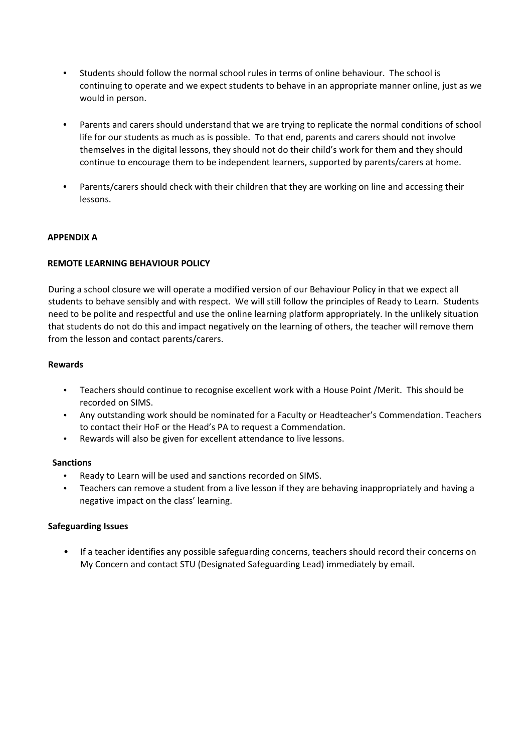- Students should follow the normal school rules in terms of online behaviour. The school is continuing to operate and we expect students to behave in an appropriate manner online, just as we would in person.
- Parents and carers should understand that we are trying to replicate the normal conditions of school life for our students as much as is possible. To that end, parents and carers should not involve themselves in the digital lessons, they should not do their child's work for them and they should continue to encourage them to be independent learners, supported by parents/carers at home.
- Parents/carers should check with their children that they are working on line and accessing their lessons.

## **APPENDIX A**

## **REMOTE LEARNING BEHAVIOUR POLICY**

During a school closure we will operate a modified version of our Behaviour Policy in that we expect all students to behave sensibly and with respect. We will still follow the principles of Ready to Learn. Students need to be polite and respectful and use the online learning platform appropriately. In the unlikely situation that students do not do this and impact negatively on the learning of others, the teacher will remove them from the lesson and contact parents/carers.

## **Rewards**

- Teachers should continue to recognise excellent work with a House Point /Merit. This should be recorded on SIMS.
- Any outstanding work should be nominated for a Faculty or Headteacher's Commendation. Teachers to contact their HoF or the Head's PA to request a Commendation.
- Rewards will also be given for excellent attendance to live lessons.

## **Sanctions**

- Ready to Learn will be used and sanctions recorded on SIMS.
- Teachers can remove a student from a live lesson if they are behaving inappropriately and having a negative impact on the class' learning.

## **Safeguarding Issues**

• If a teacher identifies any possible safeguarding concerns, teachers should record their concerns on My Concern and contact STU (Designated Safeguarding Lead) immediately by email.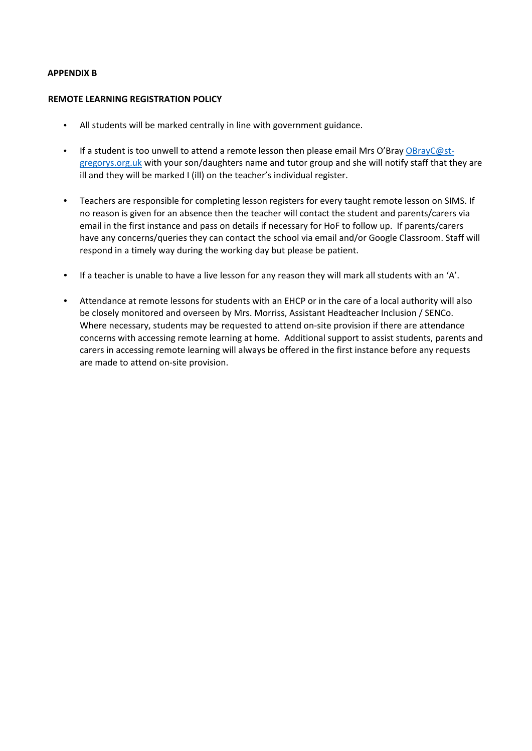## **APPENDIX B**

#### **REMOTE LEARNING REGISTRATION POLICY**

- All students will be marked centrally in line with government guidance.
- If a student is too unwell to attend a remote lesson then please email Mrs O'Bray [OBrayC@st](mailto:OBrayC@st-gregorys.org.uk)[gregorys.org.uk](mailto:OBrayC@st-gregorys.org.uk) with your son/daughters name and tutor group and she will notify staff that they are ill and they will be marked I (ill) on the teacher's individual register.
- Teachers are responsible for completing lesson registers for every taught remote lesson on SIMS. If no reason is given for an absence then the teacher will contact the student and parents/carers via email in the first instance and pass on details if necessary for HoF to follow up. If parents/carers have any concerns/queries they can contact the school via email and/or Google Classroom. Staff will respond in a timely way during the working day but please be patient.
- If a teacher is unable to have a live lesson for any reason they will mark all students with an 'A'.
- Attendance at remote lessons for students with an EHCP or in the care of a local authority will also be closely monitored and overseen by Mrs. Morriss, Assistant Headteacher Inclusion / SENCo. Where necessary, students may be requested to attend on-site provision if there are attendance concerns with accessing remote learning at home. Additional support to assist students, parents and carers in accessing remote learning will always be offered in the first instance before any requests are made to attend on-site provision.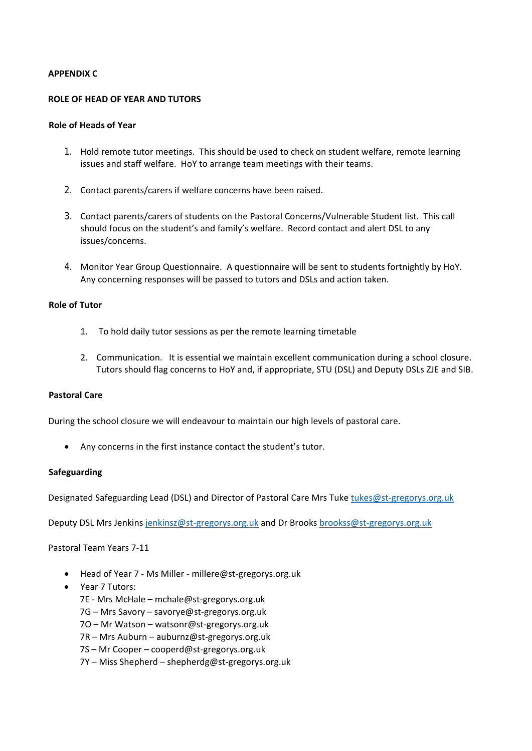#### **APPENDIX C**

#### **ROLE OF HEAD OF YEAR AND TUTORS**

#### **Role of Heads of Year**

- 1. Hold remote tutor meetings. This should be used to check on student welfare, remote learning issues and staff welfare. HoY to arrange team meetings with their teams.
- 2. Contact parents/carers if welfare concerns have been raised.
- 3. Contact parents/carers of students on the Pastoral Concerns/Vulnerable Student list. This call should focus on the student's and family's welfare. Record contact and alert DSL to any issues/concerns.
- 4. Monitor Year Group Questionnaire. A questionnaire will be sent to students fortnightly by HoY. Any concerning responses will be passed to tutors and DSLs and action taken.

## **Role of Tutor**

- 1. To hold daily tutor sessions as per the remote learning timetable
- 2. Communication. It is essential we maintain excellent communication during a school closure. Tutors should flag concerns to HoY and, if appropriate, STU (DSL) and Deputy DSLs ZJE and SIB.

#### **Pastoral Care**

During the school closure we will endeavour to maintain our high levels of pastoral care.

• Any concerns in the first instance contact the student's tutor.

#### **Safeguarding**

Designated Safeguarding Lead (DSL) and Director of Pastoral Care Mrs Tuke [tukes@st-gregorys.org.uk](mailto:tukes@st-gregorys.org.uk)

Deputy DSL Mrs Jenkins [jenkinsz@st-gregorys.org.uk](mailto:jenkinsz@st-gregorys.org.uk) and Dr Brook[s brookss@st-gregorys.org.uk](mailto:brookss@st-gregorys.org.uk)

Pastoral Team Years 7-11

- Head of Year 7 Ms Miller millere@st-gregorys.org.uk
- Year 7 Tutors:

7E - Mrs McHale – mchale@st-gregorys.org.uk

7G – Mrs Savory – savorye@st-gregorys.org.uk

7O – Mr Watson – watsonr@st-gregorys.org.uk

7R – Mrs Auburn – auburnz@st-gregorys.org.uk

7S – Mr Cooper – cooperd@st-gregorys.org.uk

7Y – Miss Shepherd – shepherdg@st-gregorys.org.uk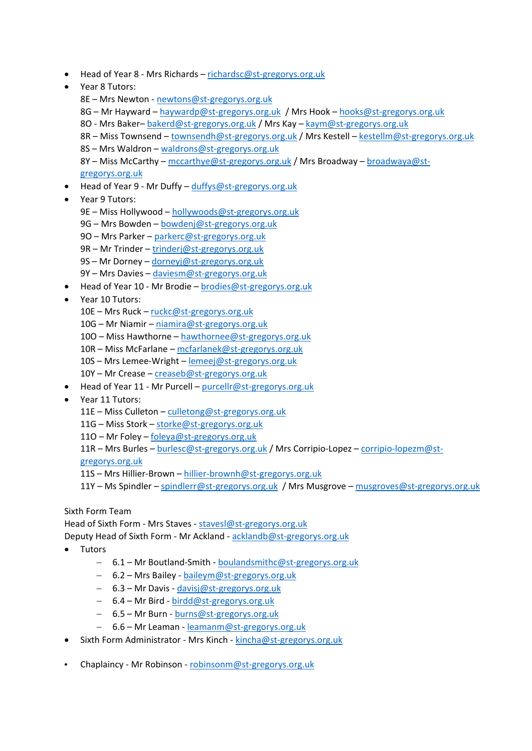- Head of Year 8 Mrs Richards [richardsc@st-gregorys.org.uk](mailto:richardsc@st-gregorys.org.uk)
- Year 8 Tutors:
	- 8E Mrs Newton [newtons@st-gregorys.org.uk](mailto:newtons@st-gregorys.org.uk)
	- 8G Mr Hayward [haywardp@st-gregorys.org.uk](mailto:haywardp@st-gregorys.org.uk) / Mrs Hook [hooks@st-gregorys.org.uk](mailto:hooks@st-gregorys.org.uk)
	- 8O Mrs Baker– [bakerd@st-gregorys.org.uk](mailto:bakerd@st-gregorys.org.uk) / Mrs Kay [kaym@st-gregorys.org.uk](mailto:kaym@st-gregorys.org.uk)
	- 8R Miss Townsend [townsendh@st-gregorys.org.uk](mailto:townsendh@st-gregorys.org.uk) / Mrs Kestell [kestellm@st-gregorys.org.uk](mailto:kestellm@st-gregorys.org.uk)
	- 8S Mrs Waldron [waldrons@st-gregorys.org.uk](mailto:waldrons@st-gregorys.org.uk)

8Y – Miss McCarthy – [mccarthye@st-gregorys.org.uk](mailto:mccarthye@st-gregorys.org.uk) / Mrs Broadway – [broadwaya@st](mailto:broadwaya@st-gregorys.org.uk)[gregorys.org.uk](mailto:broadwaya@st-gregorys.org.uk)

- Head of Year 9 Mr Duffy [duffys@st-gregorys.org.uk](mailto:duffys@st-gregorys.org.uk)
- Year 9 Tutors:
	- 9E Miss Hollywood [hollywoods@st-gregorys.org.uk](mailto:hollywoods@st-gregorys.org.uk)
	- 9G Mrs Bowden [bowdenj@st-gregorys.org.uk](mailto:bowdenj@st-gregorys.org.uk)
	- 9O Mrs Parker [parkerc@st-gregorys.org.uk](mailto:parkerc@st-gregorys.org.uk)
	- 9R Mr Trinder [trinderj@st-gregorys.org.uk](mailto:trinderj@st-gregorys.org.uk)
	- 9S Mr Dorney [dorneyj@st-gregorys.org.uk](mailto:dorneyj@st-gregorys.org.uk)
	- 9Y Mrs Davies [daviesm@st-gregorys.org.uk](mailto:daviesm@st-gregorys.org.uk)
- Head of Year 10 Mr Brodie [brodies@st-gregorys.org.uk](mailto:brodies@st-gregorys.org.uk)
- Year 10 Tutors:
	- 10E Mrs Ruck [ruckc@st-gregorys.org.uk](mailto:ruckc@st-gregorys.org.uk)
	- 10G Mr Niamir [niamira@st-gregorys.org.uk](mailto:niamira@st-gregorys.org.uk)
	- 10O Miss Hawthorne [hawthornee@st-gregorys.org.uk](mailto:hawthornee@st-gregorys.org.uk)
	- 10R Miss McFarlane [mcfarlanek@st-gregorys.org.uk](mailto:mcfarlanek@st-gregorys.org.uk)
	- 10S Mrs Lemee-Wright [lemeej@st-gregorys.org.uk](mailto:lemeej@st-gregorys.org.uk)
	- 10Y Mr Crease [creaseb@st-gregorys.org.uk](mailto:creaseb@st-gregorys.org.uk)
- Head of Year 11 Mr Purcell [purcellr@st-gregorys.org.uk](mailto:purcellr@st-gregorys.org.uk)
- Year 11 Tutors:
	- 11E Miss Culleton [culletong@st-gregorys.org.uk](mailto:culletong@st-gregorys.org.uk)
	- 11G Miss Stork [storke@st-gregorys.org.uk](mailto:storke@st-gregorys.org.uk)
	- 11O Mr Foley [foleya@st-gregorys.org.uk](mailto:foleya@st-gregorys.org.uk)
	- 11R Mrs Burles [burlesc@st-gregorys.org.uk](mailto:burlesc@st-gregorys.org.uk) / Mrs Corripio-Lopez [corripio-lopezm@st-](mailto:corripio-lopezm@st-gregorys.org.uk)

[gregorys.org.uk](mailto:corripio-lopezm@st-gregorys.org.uk)

- 11S Mrs Hillier-Brown [hillier-brownh@st-gregorys.org.uk](mailto:hillier-brownh@st-gregorys.org.uk)
- 11Y Ms Spindler [spindlerr@st-gregorys.org.uk](mailto:spindlerr@st-gregorys.org.uk) / Mrs Musgrove [musgroves@st-gregorys.org.uk](mailto:musgroves@st-gregorys.org.uk)

Sixth Form Team

Head of Sixth Form - Mrs Staves - [stavesl@st-gregorys.org.uk](mailto:stavesl@st-gregorys.org.uk)

Deputy Head of Sixth Form - Mr Ackland - [acklandb@st-gregorys.org.uk](mailto:acklandb@st-gregorys.org.uk)

- Tutors
	- − 6.1 Mr Boutland-Smith [boulandsmithc@st-gregorys.org.uk](mailto:boulandsmithc@st-gregorys.org.uk)
	- − 6.2 Mrs Bailey [baileym@st-gregorys.org.uk](mailto:baileym@st-gregorys.org.uk)
	- − 6.3 Mr Davis [davisj@st-gregorys.org.uk](mailto:davisj@st-gregorys.org.uk)
	- − 6.4 Mr Bird [birdd@st-gregorys.org.uk](mailto:birdd@st-gregorys.org.uk)
	- − 6.5 Mr Burn [burns@st-gregorys.org.uk](mailto:burns@st-gregorys.org.uk)
	- − 6.6 Mr Leaman [leamanm@st-gregorys.org.uk](mailto:leamanm@st-gregorys.org.uk)
- Sixth Form Administrator Mrs Kinch [kincha@st-gregorys.org.uk](mailto:kincha@st-gregorys.org.uk)
- Chaplaincy Mr Robinson [robinsonm@st-gregorys.org.uk](mailto:robinsonm@st-gregorys.org.uk)